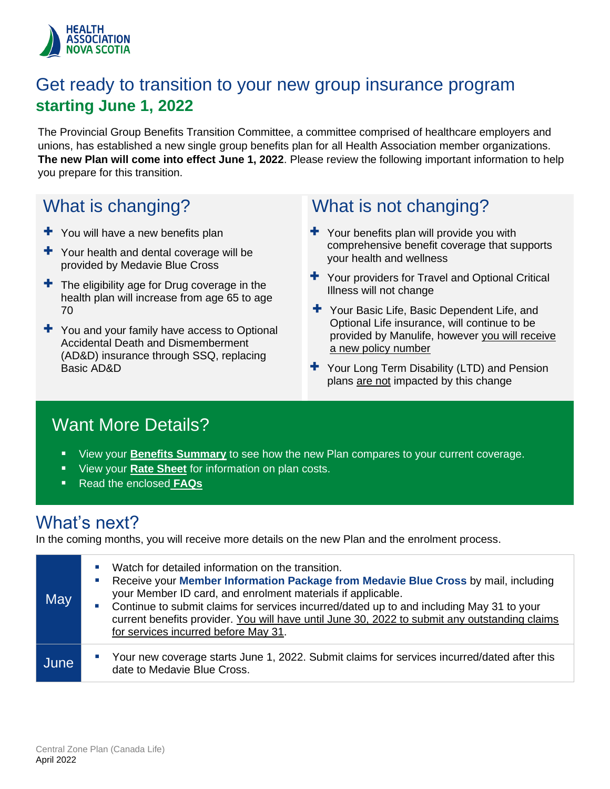

### Get ready to transition to your new group insurance program **starting June 1, 2022**

The Provincial Group Benefits Transition Committee, a committee comprised of healthcare employers and unions, has established a new single group benefits plan for all Health Association member organizations. **The new Plan will come into effect June 1, 2022**. Please review the following important information to help you prepare for this transition.

### What is changing?

- $+$  You will have a new benefits plan
- $+$  Your health and dental coverage will be provided by Medavie Blue Cross
- $\pm$  The eligibility age for Drug coverage in the health plan will increase from age 65 to age 70
- $+$  You and your family have access to Optional Accidental Death and Dismemberment (AD&D) insurance through SSQ, replacing Basic AD&D

### What is not changing?

- $\pm$  Your benefits plan will provide you with comprehensive benefit coverage that supports your health and wellness
- $+$  Your providers for Travel and Optional Critical Illness will not change
- + Your Basic Life, Basic Dependent Life, and Optional Life insurance, will continue to be provided by Manulife, however you will receive a new policy number
- $\div$  Your Long Term Disability (LTD) and Pension plans are not impacted by this change

### Want More Details?

- View your **B[enefits Summa](#page-2-0)ry** to see how the new Plan compares to your current coverage.
- View your **[Rate Sheet](#page-8-0)** for information on plan costs.
- Read the enclosed **[FAQs](#page-1-0)**

### What's next?

In the coming months, you will receive more details on the new Plan and the enrolment process.

| May  | Watch for detailed information on the transition.<br>×<br>Receive your Member Information Package from Medavie Blue Cross by mail, including<br>ш<br>your Member ID card, and enrolment materials if applicable.<br>Continue to submit claims for services incurred/dated up to and including May 31 to your<br>ш<br>current benefits provider. You will have until June 30, 2022 to submit any outstanding claims<br>for services incurred before May 31. |
|------|------------------------------------------------------------------------------------------------------------------------------------------------------------------------------------------------------------------------------------------------------------------------------------------------------------------------------------------------------------------------------------------------------------------------------------------------------------|
| June | Your new coverage starts June 1, 2022. Submit claims for services incurred/dated after this<br>ш<br>date to Medavie Blue Cross.                                                                                                                                                                                                                                                                                                                            |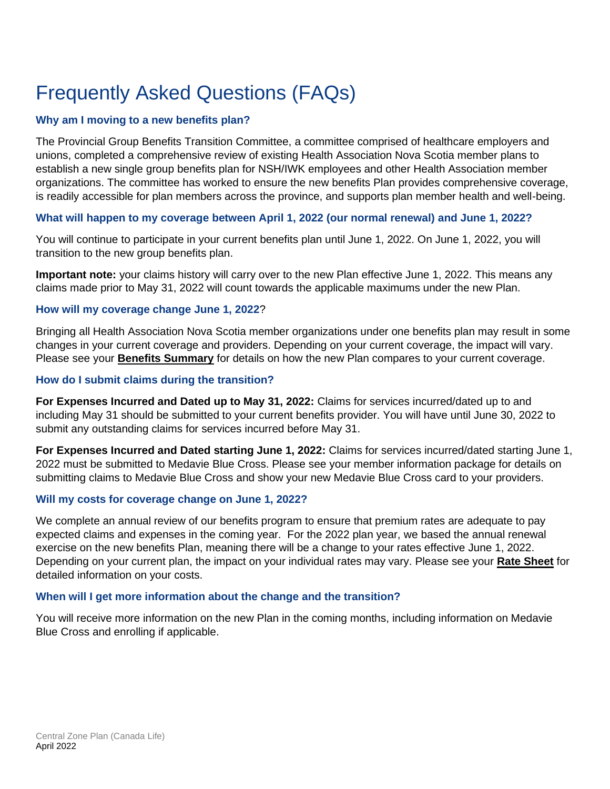# <span id="page-1-0"></span>Frequently Asked Questions (FAQs)

### **Why am I moving to a new benefits plan?**

The Provincial Group Benefits Transition Committee, a committee comprised of healthcare employers and unions, completed a comprehensive review of existing Health Association Nova Scotia member plans to establish a new single group benefits plan for NSH/IWK employees and other Health Association member organizations. The committee has worked to ensure the new benefits Plan provides comprehensive coverage, is readily accessible for plan members across the province, and supports plan member health and well-being.

### **What will happen to my coverage between April 1, 2022 (our normal renewal) and June 1, 2022?**

You will continue to participate in your current benefits plan until June 1, 2022. On June 1, 2022, you will transition to the new group benefits plan.

**Important note:** your claims history will carry over to the new Plan effective June 1, 2022. This means any claims made prior to May 31, 2022 will count towards the applicable maximums under the new Plan.

#### **How will my coverage change June 1, 2022**?

Bringing all Health Association Nova Scotia member organizations under one benefits plan may result in some changes in your current coverage and providers. Depending on your current coverage, the impact will vary. Please see your **B[enefits Summa](#page-2-0)ry** for details on how the new Plan compares to your current coverage.

#### **How do I submit claims during the transition?**

**For Expenses Incurred and Dated up to May 31, 2022:** Claims for services incurred/dated up to and including May 31 should be submitted to your current benefits provider. You will have until June 30, 2022 to submit any outstanding claims for services incurred before May 31.

**For Expenses Incurred and Dated starting June 1, 2022:** Claims for services incurred/dated starting June 1, 2022 must be submitted to Medavie Blue Cross. Please see your member information package for details on submitting claims to Medavie Blue Cross and show your new Medavie Blue Cross card to your providers.

#### **Will my costs for coverage change on June 1, 2022?**

We complete an annual review of our benefits program to ensure that premium rates are adequate to pay expected claims and expenses in the coming year. For the 2022 plan year, we based the annual renewal exercise on the new benefits Plan, meaning there will be a change to your rates effective June 1, 2022. Depending on your current plan, the impact on your individual rates may vary. Please see your **[Rate Sheet](#page-8-0)** for detailed information on your costs.

#### **When will I get more information about the change and the transition?**

You will receive more information on the new Plan in the coming months, including information on Medavie Blue Cross and enrolling if applicable.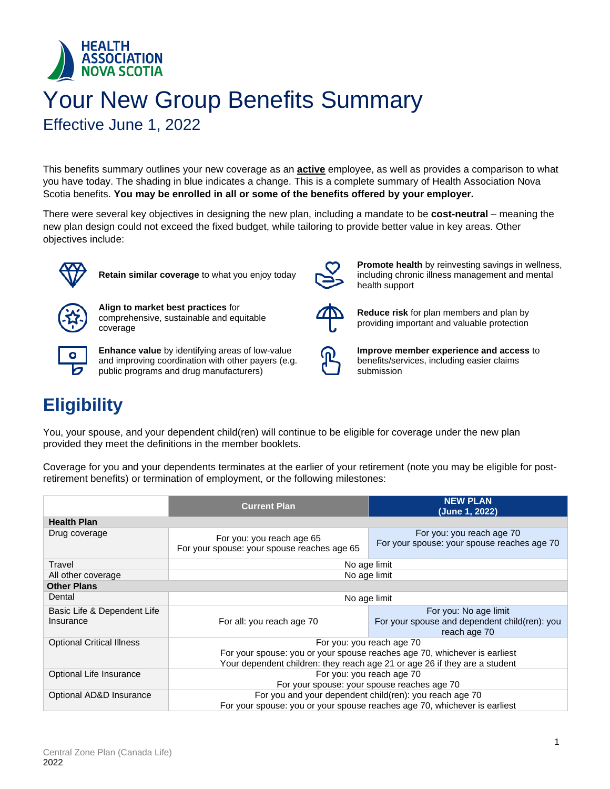<span id="page-2-0"></span>

# Your New Group Benefits Summary

Effective June 1, 2022

This benefits summary outlines your new coverage as an **active** employee, as well as provides a comparison to what you have today. The shading in blue indicates a change. This is a complete summary of Health Association Nova Scotia benefits. **You may be enrolled in all or some of the benefits offered by your employer.**

There were several key objectives in designing the new plan, including a mandate to be **cost-neutral** – meaning the new plan design could not exceed the fixed budget, while tailoring to provide better value in key areas. Other objectives include:



**Retain similar coverage** to what you enjoy today



**Align to market best practices** for comprehensive, sustainable and equitable coverage



**Enhance value** by identifying areas of low-value and improving coordination with other payers (e.g. public programs and drug manufacturers)



**Promote health** by reinvesting savings in wellness, including chronic illness management and mental health support



**Reduce risk** for plan members and plan by providing important and valuable protection



**Improve member experience and access** to benefits/services, including easier claims submission

# **Eligibility**

You, your spouse, and your dependent child(ren) will continue to be eligible for coverage under the new plan provided they meet the definitions in the member booklets.

Coverage for you and your dependents terminates at the earlier of your retirement (note you may be eligible for postretirement benefits) or termination of employment, or the following milestones:

|                                          | <b>Current Plan</b>                                                                                                                                     | <b>NEW PLAN</b><br>(June 1, 2022)                                                      |  |
|------------------------------------------|---------------------------------------------------------------------------------------------------------------------------------------------------------|----------------------------------------------------------------------------------------|--|
| <b>Health Plan</b>                       |                                                                                                                                                         |                                                                                        |  |
| Drug coverage                            | For you: you reach age 65<br>For your spouse: your spouse reaches age 65                                                                                | For you: you reach age 70<br>For your spouse: your spouse reaches age 70               |  |
| Travel                                   | No age limit                                                                                                                                            |                                                                                        |  |
| All other coverage                       | No age limit                                                                                                                                            |                                                                                        |  |
| <b>Other Plans</b>                       |                                                                                                                                                         |                                                                                        |  |
| Dental                                   | No age limit                                                                                                                                            |                                                                                        |  |
| Basic Life & Dependent Life<br>Insurance | For all: you reach age 70                                                                                                                               | For you: No age limit<br>For your spouse and dependent child(ren): you<br>reach age 70 |  |
| <b>Optional Critical Illness</b>         | For you: you reach age 70                                                                                                                               |                                                                                        |  |
|                                          | For your spouse: you or your spouse reaches age 70, whichever is earliest<br>Your dependent children: they reach age 21 or age 26 if they are a student |                                                                                        |  |
| Optional Life Insurance                  | For you: you reach age 70                                                                                                                               |                                                                                        |  |
|                                          | For your spouse: your spouse reaches age 70                                                                                                             |                                                                                        |  |
| Optional AD&D Insurance                  | For you and your dependent child(ren): you reach age 70                                                                                                 |                                                                                        |  |
|                                          | For your spouse: you or your spouse reaches age 70, whichever is earliest                                                                               |                                                                                        |  |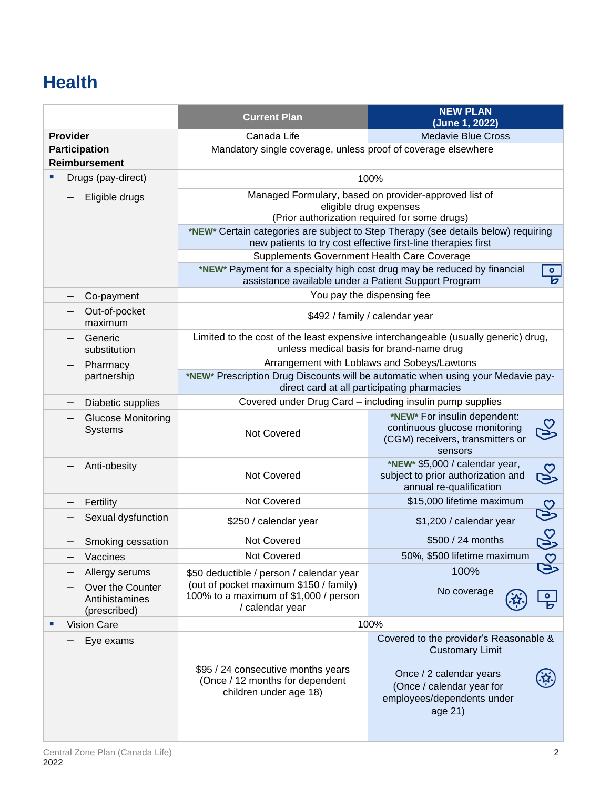# **Health**

|                                                    | <b>Current Plan</b>                                                                                               | <b>NEW PLAN</b><br>(June 1, 2022)                                                                                                                                             |  |
|----------------------------------------------------|-------------------------------------------------------------------------------------------------------------------|-------------------------------------------------------------------------------------------------------------------------------------------------------------------------------|--|
| <b>Provider</b>                                    | Canada Life                                                                                                       | <b>Medavie Blue Cross</b>                                                                                                                                                     |  |
| <b>Participation</b>                               | Mandatory single coverage, unless proof of coverage elsewhere                                                     |                                                                                                                                                                               |  |
| <b>Reimbursement</b>                               |                                                                                                                   |                                                                                                                                                                               |  |
| Drugs (pay-direct)                                 |                                                                                                                   | 100%                                                                                                                                                                          |  |
| Eligible drugs                                     |                                                                                                                   | Managed Formulary, based on provider-approved list of                                                                                                                         |  |
|                                                    |                                                                                                                   | eligible drug expenses                                                                                                                                                        |  |
|                                                    |                                                                                                                   | (Prior authorization required for some drugs)                                                                                                                                 |  |
|                                                    |                                                                                                                   | *NEW* Certain categories are subject to Step Therapy (see details below) requiring<br>new patients to try cost effective first-line therapies first                           |  |
|                                                    | Supplements Government Health Care Coverage                                                                       |                                                                                                                                                                               |  |
|                                                    | *NEW* Payment for a specialty high cost drug may be reduced by financial                                          | $\bullet$                                                                                                                                                                     |  |
|                                                    | assistance available under a Patient Support Program                                                              | চ                                                                                                                                                                             |  |
| Co-payment                                         |                                                                                                                   | You pay the dispensing fee                                                                                                                                                    |  |
| Out-of-pocket<br>maximum                           |                                                                                                                   | \$492 / family / calendar year                                                                                                                                                |  |
| Generic                                            |                                                                                                                   | Limited to the cost of the least expensive interchangeable (usually generic) drug,                                                                                            |  |
| substitution                                       |                                                                                                                   | unless medical basis for brand-name drug                                                                                                                                      |  |
| Pharmacy<br>partnership                            |                                                                                                                   | Arrangement with Loblaws and Sobeys/Lawtons<br>*NEW* Prescription Drug Discounts will be automatic when using your Medavie pay-                                               |  |
|                                                    |                                                                                                                   | direct card at all participating pharmacies                                                                                                                                   |  |
| Diabetic supplies                                  |                                                                                                                   | Covered under Drug Card - including insulin pump supplies                                                                                                                     |  |
| <b>Glucose Monitoring</b>                          |                                                                                                                   | *NEW* For insulin dependent:                                                                                                                                                  |  |
| <b>Systems</b>                                     | Not Covered                                                                                                       | continuous glucose monitoring<br>(CGM) receivers, transmitters or<br>sensors                                                                                                  |  |
| Anti-obesity                                       | Not Covered                                                                                                       | *NEW* \$5,000 / calendar year,<br><b>PS</b><br>subject to prior authorization and<br>annual re-qualification                                                                  |  |
| Fertility                                          | Not Covered                                                                                                       | \$15,000 lifetime maximum                                                                                                                                                     |  |
| Sexual dysfunction                                 | \$250 / calendar year                                                                                             | Po Po<br>\$1,200 / calendar year                                                                                                                                              |  |
| Smoking cessation                                  | Not Covered                                                                                                       | \$500 / 24 months                                                                                                                                                             |  |
| Vaccines                                           | Not Covered                                                                                                       | 50%, \$500 lifetime maximum                                                                                                                                                   |  |
| Allergy serums                                     | \$50 deductible / person / calendar year                                                                          | 100%                                                                                                                                                                          |  |
| Over the Counter<br>Antihistamines<br>(prescribed) | (out of pocket maximum \$150 / family)<br>No coverage<br>100% to a maximum of \$1,000 / person<br>/ calendar year |                                                                                                                                                                               |  |
| <b>Vision Care</b>                                 |                                                                                                                   | 100%                                                                                                                                                                          |  |
| Eye exams                                          | \$95 / 24 consecutive months years<br>(Once / 12 months for dependent<br>children under age 18)                   | Covered to the provider's Reasonable &<br><b>Customary Limit</b><br>Once / 2 calendar years<br><u>科</u><br>(Once / calendar year for<br>employees/dependents under<br>age 21) |  |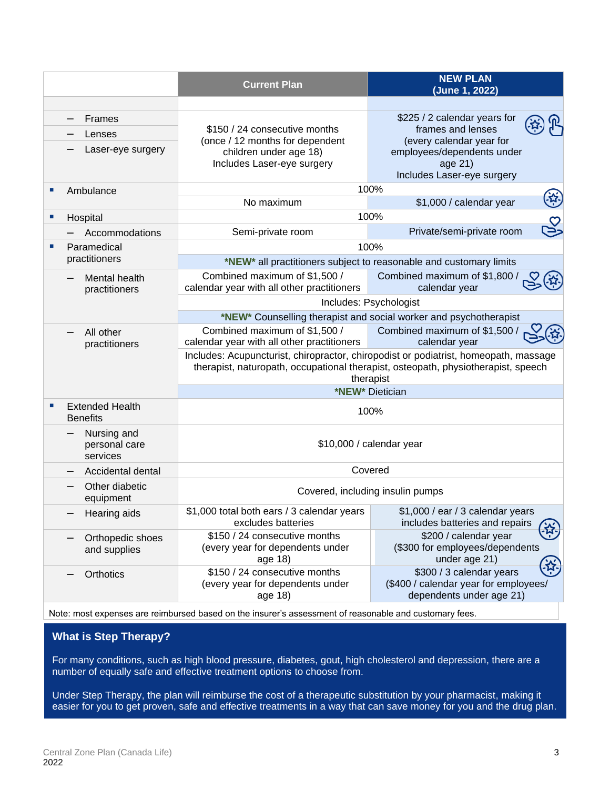|    |                                           | <b>Current Plan</b>                                                                                                                                                                    | <b>NEW PLAN</b><br>(June 1, 2022)                                                                            |  |  |
|----|-------------------------------------------|----------------------------------------------------------------------------------------------------------------------------------------------------------------------------------------|--------------------------------------------------------------------------------------------------------------|--|--|
|    |                                           |                                                                                                                                                                                        |                                                                                                              |  |  |
|    | Frames                                    |                                                                                                                                                                                        | \$225 / 2 calendar years for                                                                                 |  |  |
|    | Lenses                                    | \$150 / 24 consecutive months<br>(once / 12 months for dependent                                                                                                                       | frames and lenses<br>(every calendar year for                                                                |  |  |
|    | Laser-eye surgery                         | children under age 18)<br>Includes Laser-eye surgery                                                                                                                                   | employees/dependents under<br>age 21)<br>Includes Laser-eye surgery                                          |  |  |
| п  | Ambulance                                 |                                                                                                                                                                                        | 100%                                                                                                         |  |  |
|    |                                           | No maximum                                                                                                                                                                             | بيني)<br>منابع<br>\$1,000 / calendar year                                                                    |  |  |
| ш  | Hospital                                  |                                                                                                                                                                                        | 100%                                                                                                         |  |  |
|    | Accommodations                            | Semi-private room                                                                                                                                                                      | SS<br>Private/semi-private room                                                                              |  |  |
| ×. | Paramedical                               |                                                                                                                                                                                        | 100%                                                                                                         |  |  |
|    | practitioners                             |                                                                                                                                                                                        | *NEW* all practitioners subject to reasonable and customary limits                                           |  |  |
|    | Mental health<br>practitioners            | Combined maximum of \$1,500 /<br>calendar year with all other practitioners                                                                                                            | Combined maximum of \$1,800 /<br>calendar year                                                               |  |  |
|    |                                           | Includes: Psychologist                                                                                                                                                                 |                                                                                                              |  |  |
|    |                                           |                                                                                                                                                                                        | *NEW* Counselling therapist and social worker and psychotherapist                                            |  |  |
|    | All other<br>practitioners                | Combined maximum of \$1,500 /<br>calendar year with all other practitioners                                                                                                            | Combined maximum of \$1,500 /<br>calendar year                                                               |  |  |
|    |                                           | Includes: Acupuncturist, chiropractor, chiropodist or podiatrist, homeopath, massage<br>therapist, naturopath, occupational therapist, osteopath, physiotherapist, speech<br>therapist |                                                                                                              |  |  |
|    |                                           |                                                                                                                                                                                        | *NEW* Dietician                                                                                              |  |  |
| п  | <b>Extended Health</b><br><b>Benefits</b> | 100%                                                                                                                                                                                   |                                                                                                              |  |  |
|    | Nursing and<br>personal care<br>services  | \$10,000 / calendar year                                                                                                                                                               |                                                                                                              |  |  |
|    | Accidental dental                         |                                                                                                                                                                                        | Covered                                                                                                      |  |  |
|    | Other diabetic<br>equipment               | Covered, including insulin pumps                                                                                                                                                       |                                                                                                              |  |  |
|    | Hearing aids                              | \$1,000 total both ears / 3 calendar years<br>excludes batteries                                                                                                                       | \$1,000 / ear / 3 calendar years<br>includes batteries and repairs                                           |  |  |
|    | Orthopedic shoes<br>and supplies          | \$150 / 24 consecutive months<br>(every year for dependents under<br>age 18)                                                                                                           | $\mathcal{B}_1$<br>\$200 / calendar year<br>(\$300 for employees/dependents<br>under age 21)                 |  |  |
|    | Orthotics                                 | \$150 / 24 consecutive months<br>(every year for dependents under<br>age 18)                                                                                                           | <u>र्फ़</u><br>\$300 / 3 calendar years<br>(\$400 / calendar year for employees/<br>dependents under age 21) |  |  |

Note: most expenses are reimbursed based on the insurer's assessment of reasonable and customary fees.

### **What is Step Therapy?**

For many conditions, such as high blood pressure, diabetes, gout, high cholesterol and depression, there are a number of equally safe and effective treatment options to choose from.

Under Step Therapy, the plan will reimburse the cost of a therapeutic substitution by your pharmacist, making it easier for you to get proven, safe and effective treatments in a way that can save money for you and the drug plan.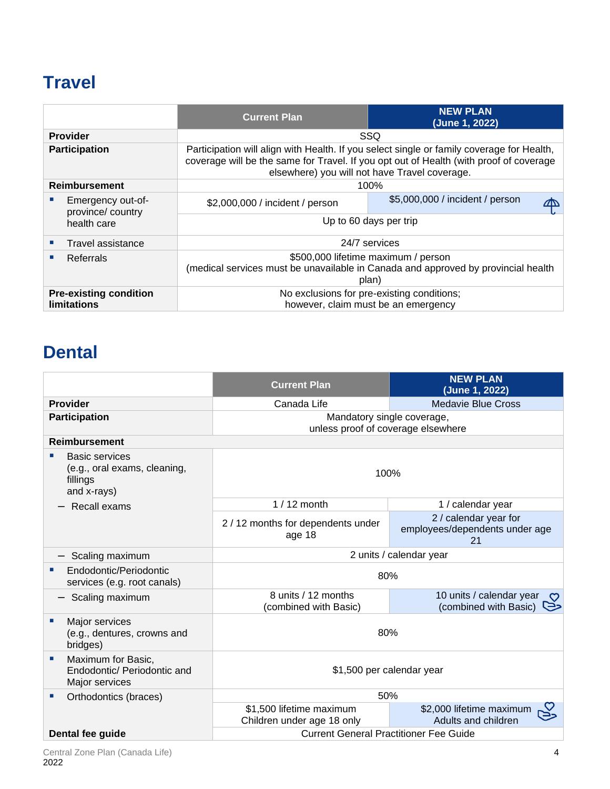# **Travel**

|                                                     | <b>Current Plan</b>                                                                                                                                                                                                                  | <b>NEW PLAN</b><br>(June 1, 2022) |  |
|-----------------------------------------------------|--------------------------------------------------------------------------------------------------------------------------------------------------------------------------------------------------------------------------------------|-----------------------------------|--|
| <b>Provider</b>                                     |                                                                                                                                                                                                                                      | <b>SSQ</b>                        |  |
| <b>Participation</b>                                | Participation will align with Health. If you select single or family coverage for Health,<br>coverage will be the same for Travel. If you opt out of Health (with proof of coverage<br>elsewhere) you will not have Travel coverage. |                                   |  |
| <b>Reimbursement</b>                                |                                                                                                                                                                                                                                      | 100%                              |  |
| Emergency out-of-<br>province/country               | \$2,000,000 / incident / person                                                                                                                                                                                                      | \$5,000,000 / incident / person   |  |
| health care                                         | Up to 60 days per trip                                                                                                                                                                                                               |                                   |  |
| Travel assistance                                   | 24/7 services                                                                                                                                                                                                                        |                                   |  |
| Referrals                                           | \$500,000 lifetime maximum / person<br>(medical services must be unavailable in Canada and approved by provincial health<br>plan)                                                                                                    |                                   |  |
| <b>Pre-existing condition</b><br><b>limitations</b> | No exclusions for pre-existing conditions;<br>however, claim must be an emergency                                                                                                                                                    |                                   |  |

### **Dental**

|                                                                                  | <b>Current Plan</b>                                              | <b>NEW PLAN</b><br>(June 1, 2022)                                       |  |
|----------------------------------------------------------------------------------|------------------------------------------------------------------|-------------------------------------------------------------------------|--|
| <b>Provider</b>                                                                  | Canada Life                                                      | <b>Medavie Blue Cross</b>                                               |  |
| <b>Participation</b>                                                             | Mandatory single coverage,<br>unless proof of coverage elsewhere |                                                                         |  |
| <b>Reimbursement</b>                                                             |                                                                  |                                                                         |  |
| <b>Basic services</b><br>(e.g., oral exams, cleaning,<br>fillings<br>and x-rays) | 100%                                                             |                                                                         |  |
| Recall exams                                                                     | $1/12$ month                                                     | 1 / calendar year                                                       |  |
|                                                                                  | 2 / 12 months for dependents under<br>age 18                     | 2 / calendar year for<br>employees/dependents under age<br>21           |  |
| Scaling maximum                                                                  | 2 units / calendar year                                          |                                                                         |  |
| Endodontic/Periodontic<br>services (e.g. root canals)                            | 80%                                                              |                                                                         |  |
| Scaling maximum                                                                  | 8 units / 12 months<br>(combined with Basic)                     | 10 units / calendar year<br>$\mathcal{O}$<br>(combined with Basic)<br>⊵ |  |
| Major services<br>(e.g., dentures, crowns and<br>bridges)                        | 80%                                                              |                                                                         |  |
| Maximum for Basic,<br>×<br>Endodontic/ Periodontic and<br>Major services         | \$1,500 per calendar year                                        |                                                                         |  |
| Orthodontics (braces)                                                            | 50%                                                              |                                                                         |  |
|                                                                                  | \$1,500 lifetime maximum<br>Children under age 18 only           | \$2,000 lifetime maximum<br>Adults and children                         |  |
| Dental fee guide                                                                 | <b>Current General Practitioner Fee Guide</b>                    |                                                                         |  |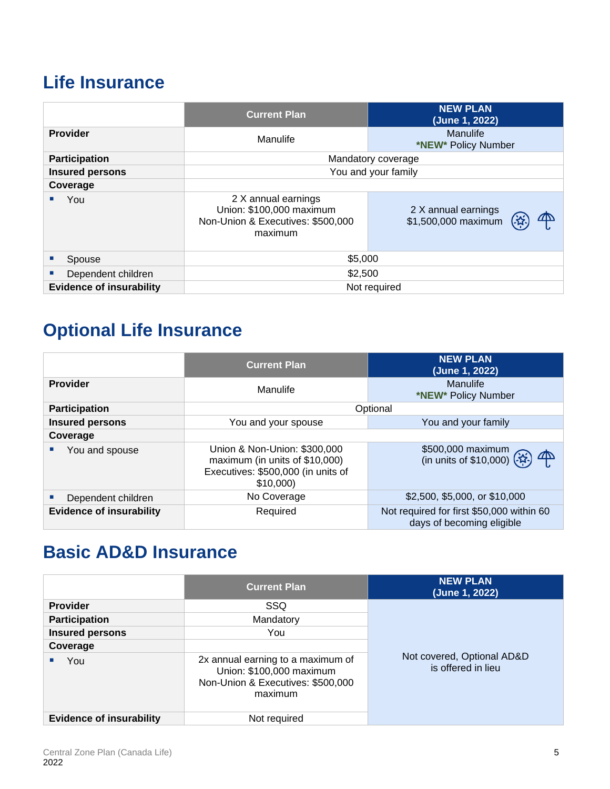### **Life Insurance**

|                                 | <b>Current Plan</b>                                                                                                                           | <b>NEW PLAN</b><br>(June 1, 2022) |  |
|---------------------------------|-----------------------------------------------------------------------------------------------------------------------------------------------|-----------------------------------|--|
| <b>Provider</b>                 | Manulife                                                                                                                                      | Manulife<br>*NEW* Policy Number   |  |
| <b>Participation</b>            |                                                                                                                                               | Mandatory coverage                |  |
| <b>Insured persons</b>          |                                                                                                                                               | You and your family               |  |
| Coverage                        |                                                                                                                                               |                                   |  |
| You                             | 2 X annual earnings<br>Union: \$100,000 maximum<br>2 X annual earnings<br>\$1,500,000 maximum<br>Non-Union & Executives: \$500,000<br>maximum |                                   |  |
| Spouse                          | \$5,000                                                                                                                                       |                                   |  |
| Dependent children              | \$2,500                                                                                                                                       |                                   |  |
| <b>Evidence of insurability</b> | Not required                                                                                                                                  |                                   |  |

# **Optional Life Insurance**

|                                 | <b>Current Plan</b>                                                                                              | <b>NEW PLAN</b><br>(June 1, 2022)                                      |  |
|---------------------------------|------------------------------------------------------------------------------------------------------------------|------------------------------------------------------------------------|--|
| <b>Provider</b>                 | Manulife                                                                                                         | Manulife<br>*NEW* Policy Number                                        |  |
| <b>Participation</b>            |                                                                                                                  | Optional                                                               |  |
| <b>Insured persons</b>          | You and your spouse                                                                                              | You and your family                                                    |  |
| Coverage                        |                                                                                                                  |                                                                        |  |
| You and spouse                  | Union & Non-Union: \$300,000<br>maximum (in units of \$10,000)<br>Executives: \$500,000 (in units of<br>\$10,000 | \$500,000 maximum<br>(in units of \$10,000) $(x)$<br>$\mathbb{P}$      |  |
| Dependent children              | No Coverage                                                                                                      | \$2,500, \$5,000, or \$10,000                                          |  |
| <b>Evidence of insurability</b> | Required                                                                                                         | Not required for first \$50,000 within 60<br>days of becoming eligible |  |

# **Basic AD&D Insurance**

|                                 | <b>Current Plan</b>                                                                                           | <b>NEW PLAN</b><br>(June 1, 2022)                |  |
|---------------------------------|---------------------------------------------------------------------------------------------------------------|--------------------------------------------------|--|
| <b>Provider</b>                 | SSQ.                                                                                                          |                                                  |  |
| <b>Participation</b>            | Mandatory                                                                                                     |                                                  |  |
| <b>Insured persons</b>          | You                                                                                                           |                                                  |  |
| Coverage                        |                                                                                                               |                                                  |  |
| You                             | 2x annual earning to a maximum of<br>Union: \$100,000 maximum<br>Non-Union & Executives: \$500,000<br>maximum | Not covered, Optional AD&D<br>is offered in lieu |  |
| <b>Evidence of insurability</b> | Not required                                                                                                  |                                                  |  |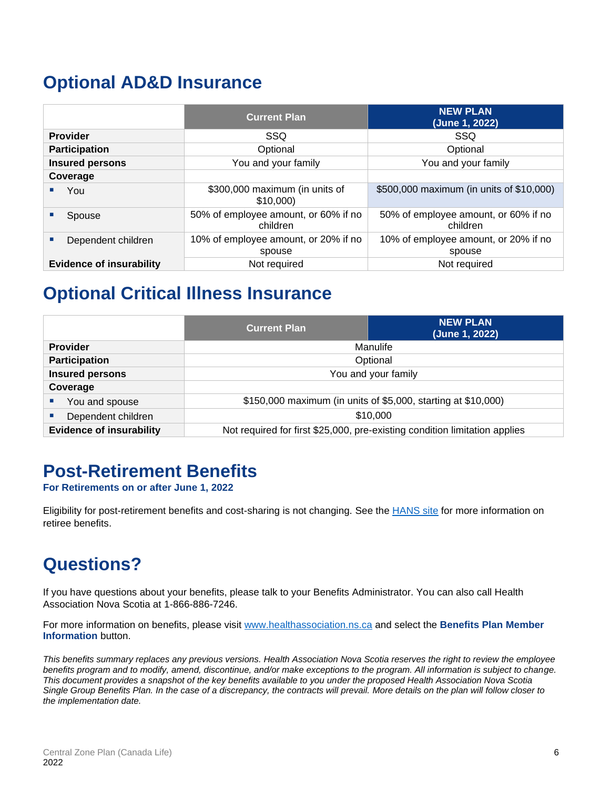### **Optional AD&D Insurance**

|                                                            | <b>Current Plan</b>                            | <b>NEW PLAN</b><br>(June 1, 2022)                |  |
|------------------------------------------------------------|------------------------------------------------|--------------------------------------------------|--|
| <b>Provider</b>                                            | SSQ                                            | SSQ                                              |  |
| <b>Participation</b>                                       | Optional                                       | Optional                                         |  |
| <b>Insured persons</b>                                     | You and your family                            | You and your family                              |  |
| Coverage                                                   |                                                |                                                  |  |
| You                                                        | \$300,000 maximum (in units of<br>\$10,000     | \$500,000 maximum (in units of \$10,000)         |  |
| 50% of employee amount, or 60% if no<br>Spouse<br>children |                                                | 50% of employee amount, or 60% if no<br>children |  |
| Dependent children                                         | 10% of employee amount, or 20% if no<br>spouse | 10% of employee amount, or 20% if no<br>spouse   |  |
| <b>Evidence of insurability</b>                            | Not required                                   | Not required                                     |  |

### **Optional Critical Illness Insurance**

|                                               | <b>Current Plan</b>                                                        | <b>NEW PLAN</b><br>(June 1, 2022) |
|-----------------------------------------------|----------------------------------------------------------------------------|-----------------------------------|
| <b>Provider</b>                               | Manulife                                                                   |                                   |
| <b>Participation</b>                          | Optional                                                                   |                                   |
| <b>Insured persons</b>                        | You and your family                                                        |                                   |
| Coverage                                      |                                                                            |                                   |
| You and spouse<br>$\mathcal{L}_{\mathcal{A}}$ | \$150,000 maximum (in units of \$5,000, starting at \$10,000)              |                                   |
| Dependent children<br>п                       | \$10,000                                                                   |                                   |
| <b>Evidence of insurability</b>               | Not required for first \$25,000, pre-existing condition limitation applies |                                   |

### **Post-Retirement Benefits**

**For Retirements on or after June 1, 2022**

Eligibility for post-retirement benefits and cost-sharing is not changing. See the HANS site for more information on retiree benefits.

# **Questions?**

If you have questions about your benefits, please talk to your Benefits Administrator. You can also call Health Association Nova Scotia at 1-866-886-7246.

For more information on benefits, please visit [www.healthassociation.ns.ca](http://www.healthassociation.ns.ca/) and select the **Benefits Plan Member Information** button.

*This benefits summary replaces any previous versions. Health Association Nova Scotia reserves the right to review the employee benefits program and to modify, amend, discontinue, and/or make exceptions to the program. All information is subject to change. This document provides a snapshot of the key benefits available to you under the proposed Health Association Nova Scotia Single Group Benefits Plan. In the case of a discrepancy, the contracts will prevail. More details on the plan will follow closer to the implementation date.*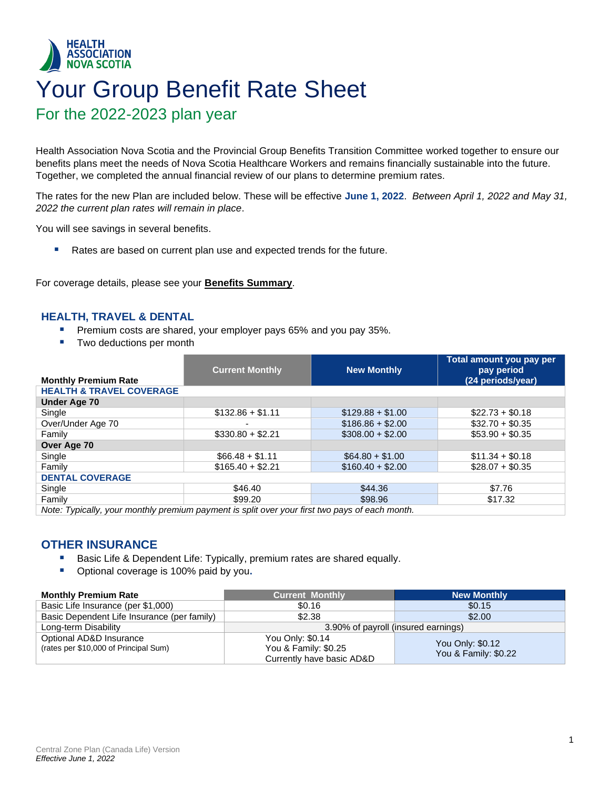### <span id="page-8-0"></span>**HEALTH ASSOCIATION NOVA SCOTIA** Your Group Benefit Rate Sheet For the 2022-2023 plan year

Health Association Nova Scotia and the Provincial Group Benefits Transition Committee worked together to ensure our benefits plans meet the needs of Nova Scotia Healthcare Workers and remains financially sustainable into the future. Together, we completed the annual financial review of our plans to determine premium rates.

The rates for the new Plan are included below. These will be effective **June 1, 2022**. *Between April 1, 2022 and May 31, 2022 the current plan rates will remain in place*.

You will see savings in several benefits.

■ Rates are based on current plan use and expected trends for the future.

For coverage details, please see your **[Benefits Summa](#page-2-0)ry**.

#### **HEALTH, TRAVEL & DENTAL**

- **•** Premium costs are shared, your employer pays 65% and you pay 35%.
- Two deductions per month

|                                                                                                | <b>Current Monthly</b> | <b>New Monthly</b> | Total amount you pay per<br>pay period |  |
|------------------------------------------------------------------------------------------------|------------------------|--------------------|----------------------------------------|--|
| <b>Monthly Premium Rate</b>                                                                    |                        |                    | (24 periods/year)                      |  |
| <b>HEALTH &amp; TRAVEL COVERAGE</b>                                                            |                        |                    |                                        |  |
| <b>Under Age 70</b>                                                                            |                        |                    |                                        |  |
| Single                                                                                         | $$132.86 + $1.11$      | $$129.88 + $1.00$  | $$22.73 + $0.18$                       |  |
| Over/Under Age 70                                                                              |                        | $$186.86 + $2.00$  | $$32.70 + $0.35$                       |  |
| Family                                                                                         | $$330.80 + $2.21$      | $$308.00 + $2.00$  | $$53.90 + $0.35$                       |  |
| Over Age 70                                                                                    |                        |                    |                                        |  |
| Single                                                                                         | $$66.48 + $1.11$       | $$64.80 + $1.00$   | $$11.34 + $0.18$                       |  |
| Family                                                                                         | $$165.40 + $2.21$      | $$160.40 + $2.00$  | $$28.07 + $0.35$                       |  |
| <b>DENTAL COVERAGE</b>                                                                         |                        |                    |                                        |  |
| Single                                                                                         | \$46.40                | \$44.36            | \$7.76                                 |  |
| Family                                                                                         | \$99.20                | \$98.96            | \$17.32                                |  |
| Note: Typically, your monthly premium payment is split over your first two pays of each month. |                        |                    |                                        |  |

*Note: Typically, your monthly premium payment is split over your first two pays of each month.* 

#### **OTHER INSURANCE**

- Basic Life & Dependent Life: Typically, premium rates are shared equally.
- Optional coverage is 100% paid by you.

| <b>Monthly Premium Rate</b>                 | <b>Current Monthly</b>              | <b>New Monthly</b>                       |  |  |
|---------------------------------------------|-------------------------------------|------------------------------------------|--|--|
| Basic Life Insurance (per \$1,000)          | \$0.16                              | \$0.15                                   |  |  |
| Basic Dependent Life Insurance (per family) | \$2.38                              | \$2.00                                   |  |  |
| Long-term Disability                        | 3.90% of payroll (insured earnings) |                                          |  |  |
| Optional AD&D Insurance                     | You Only: \$0.14                    |                                          |  |  |
| (rates per \$10,000 of Principal Sum)       | You & Family: \$0.25                | You Only: \$0.12<br>You & Family: \$0.22 |  |  |
|                                             | Currently have basic AD&D           |                                          |  |  |